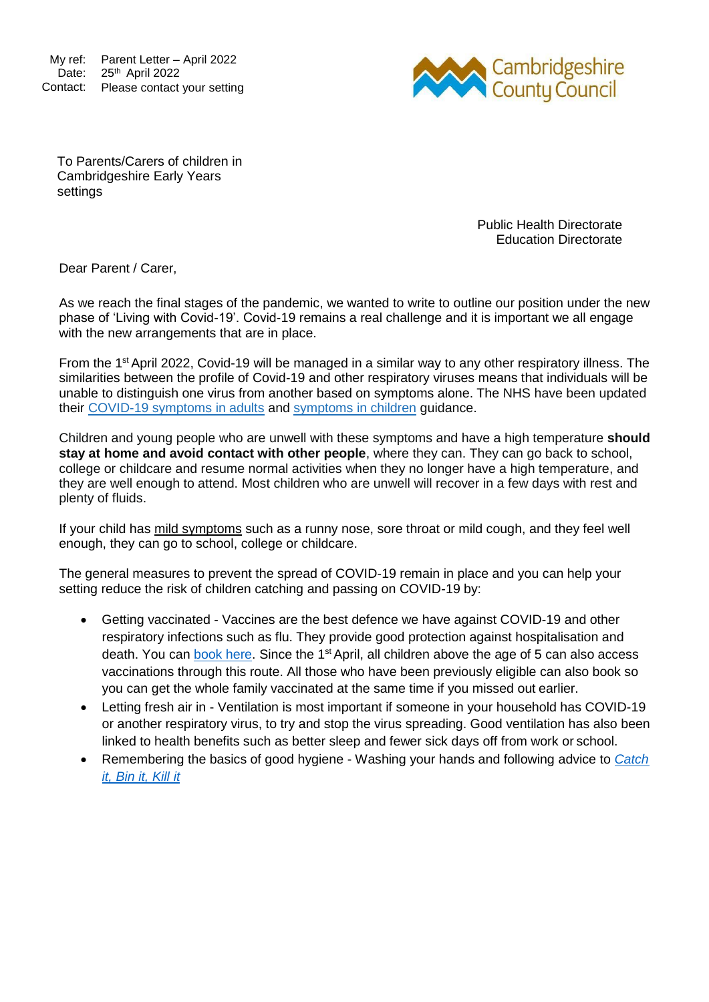My ref: Parent Letter – April 2022 Date: 25<sup>th</sup> April 2022 Contact: Please contact your setting



To Parents/Carers of children in Cambridgeshire Early Years settings

> Public Health Directorate Education Directorate

Dear Parent / Carer,

As we reach the final stages of the pandemic, we wanted to write to outline our position under the new phase of 'Living with Covid-19'. Covid-19 remains a real challenge and it is important we all engage with the new arrangements that are in place.

From the 1st April 2022, Covid-19 will be managed in a similar way to any other respiratory illness. The similarities between the profile of Covid-19 and other respiratory viruses means that individuals will be unable to distinguish one virus from another based on symptoms alone. The NHS have been updated their [COVID-19 symptoms in adults](https://www.nhs.uk/conditions/coronavirus-covid-19/symptoms/main-symptoms/?utm_source=07%20April%202022%20C19&utm_medium=Daily%20Email%20C19&utm_campaign=DfE%20C19) and [symptoms in children](https://www.nhs.uk/conditions/coronavirus-covid-19/symptoms/coronavirus-in-children/?utm_source=07%20April%202022%20C19&utm_medium=Daily%20Email%20C19&utm_campaign=DfE%20C19) guidance.

Children and young people who are unwell with these symptoms and have a high temperature **should stay at home and avoid contact with other people**, where they can. They can go back to school, college or childcare and resume normal activities when they no longer have a high temperature, and they are well enough to attend. Most children who are unwell will recover in a few days with rest and plenty of fluids.

If your child has mild symptoms such as a runny nose, sore throat or mild cough, and they feel well enough, they can go to school, college or childcare.

The general measures to prevent the spread of COVID-19 remain in place and you can help your setting reduce the risk of children catching and passing on COVID-19 by:

- Getting vaccinated Vaccines are the best defence we have against COVID-19 and other respiratory infections such as flu. They provide good protection against hospitalisation and death. You can [book here.](https://www.nhs.uk/conditions/coronavirus-covid-19/coronavirus-vaccination/book-coronavirus-vaccination/) Since the 1<sup>st</sup> April, all children above the age of 5 can also access vaccinations through this route. All those who have been previously eligible can also book so you can get the whole family vaccinated at the same time if you missed out earlier.
- Letting fresh air in Ventilation is most important if someone in your household has COVID-19 or another respiratory virus, to try and stop the virus spreading. Good ventilation has also been linked to health benefits such as better sleep and fewer sick days off from work or school.
- Remembering the basics of good hygiene Washing your hands and following advice to *[Catch](https://www.england.nhs.uk/south/wp-content/uploads/sites/6/2017/09/catch-bin-kill.pdf) [it, Bin it, Kill](https://www.england.nhs.uk/south/wp-content/uploads/sites/6/2017/09/catch-bin-kill.pdf) it*